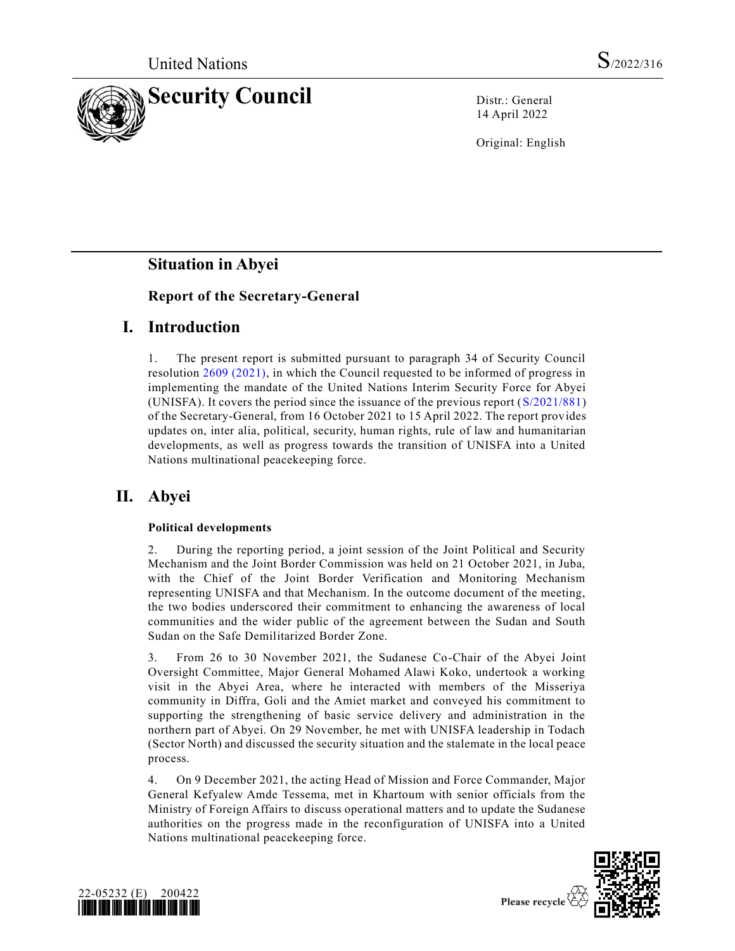

14 April 2022

Original: English

# **Situation in Abyei**

## **Report of the Secretary-General**

# **I. Introduction**

1. The present report is submitted pursuant to paragraph 34 of Security Council resolution [2609 \(2021\),](https://undocs.org/en/S/RES/2609(2021)) in which the Council requested to be informed of progress in implementing the mandate of the United Nations Interim Security Force for Abyei (UNISFA). It covers the period since the issuance of the previous report [\(S/2021/881\)](https://undocs.org/en/S/2021/881) of the Secretary-General, from 16 October 2021 to 15 April 2022. The report provides updates on, inter alia, political, security, human rights, rule of law and humanitarian developments, as well as progress towards the transition of UNISFA into a United Nations multinational peacekeeping force.

# **II. Abyei**

### **Political developments**

2. During the reporting period, a joint session of the Joint Political and Security Mechanism and the Joint Border Commission was held on 21 October 2021, in Juba, with the Chief of the Joint Border Verification and Monitoring Mechanism representing UNISFA and that Mechanism. In the outcome document of the meeting, the two bodies underscored their commitment to enhancing the awareness of local communities and the wider public of the agreement between the Sudan and South Sudan on the Safe Demilitarized Border Zone.

3. From 26 to 30 November 2021, the Sudanese Co-Chair of the Abyei Joint Oversight Committee, Major General Mohamed Alawi Koko, undertook a working visit in the Abyei Area, where he interacted with members of the Misseriya community in Diffra, Goli and the Amiet market and conveyed his commitment to supporting the strengthening of basic service delivery and administration in the northern part of Abyei. On 29 November, he met with UNISFA leadership in Todach (Sector North) and discussed the security situation and the stalemate in the local peace process.

4. On 9 December 2021, the acting Head of Mission and Force Commander, Major General Kefyalew Amde Tessema, met in Khartoum with senior officials from the Ministry of Foreign Affairs to discuss operational matters and to update the Sudanese authorities on the progress made in the reconfiguration of UNISFA into a United Nations multinational peacekeeping force.



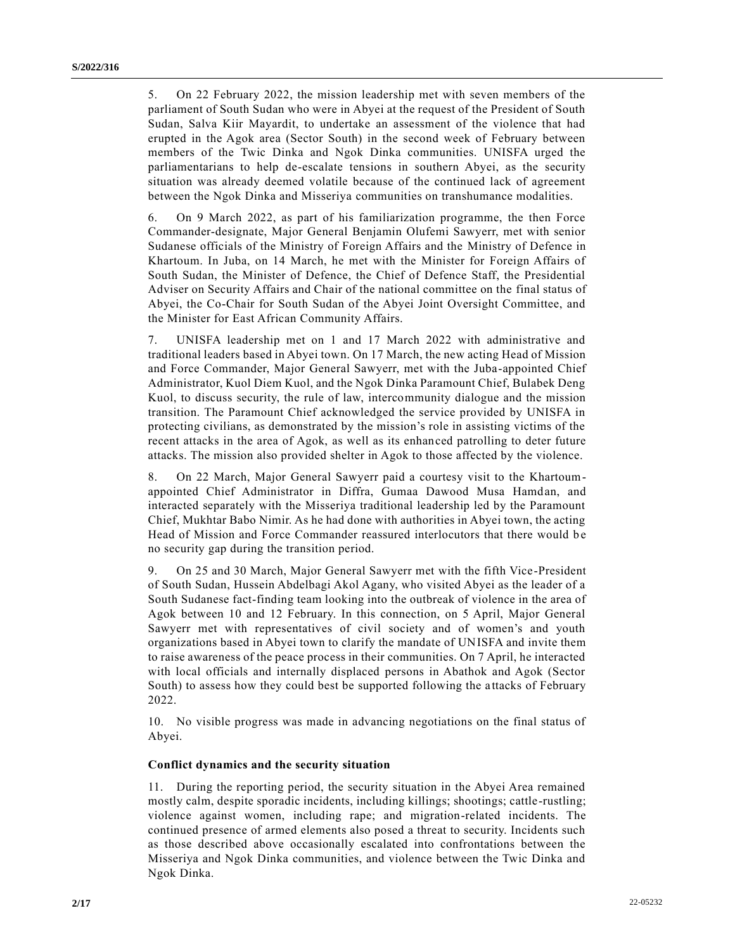5. On 22 February 2022, the mission leadership met with seven members of the parliament of South Sudan who were in Abyei at the request of the President of South Sudan, Salva Kiir Mayardit, to undertake an assessment of the violence that had erupted in the Agok area (Sector South) in the second week of February between members of the Twic Dinka and Ngok Dinka communities. UNISFA urged the parliamentarians to help de-escalate tensions in southern Abyei, as the security situation was already deemed volatile because of the continued lack of agreement between the Ngok Dinka and Misseriya communities on transhumance modalities.

6. On 9 March 2022, as part of his familiarization programme, the then Force Commander-designate, Major General Benjamin Olufemi Sawyerr, met with senior Sudanese officials of the Ministry of Foreign Affairs and the Ministry of Defence in Khartoum. In Juba, on 14 March, he met with the Minister for Foreign Affairs of South Sudan, the Minister of Defence, the Chief of Defence Staff, the Presidential Adviser on Security Affairs and Chair of the national committee on the final status of Abyei, the Co-Chair for South Sudan of the Abyei Joint Oversight Committee, and the Minister for East African Community Affairs.

7. UNISFA leadership met on 1 and 17 March 2022 with administrative and traditional leaders based in Abyei town. On 17 March, the new acting Head of Mission and Force Commander, Major General Sawyerr, met with the Juba-appointed Chief Administrator, Kuol Diem Kuol, and the Ngok Dinka Paramount Chief, Bulabek Deng Kuol, to discuss security, the rule of law, intercommunity dialogue and the mission transition. The Paramount Chief acknowledged the service provided by UNISFA in protecting civilians, as demonstrated by the mission's role in assisting victims of the recent attacks in the area of Agok, as well as its enhanced patrolling to deter future attacks. The mission also provided shelter in Agok to those affected by the violence.

8. On 22 March, Major General Sawyerr paid a courtesy visit to the Khartoumappointed Chief Administrator in Diffra, Gumaa Dawood Musa Hamdan, and interacted separately with the Misseriya traditional leadership led by the Paramount Chief, Mukhtar Babo Nimir. As he had done with authorities in Abyei town, the acting Head of Mission and Force Commander reassured interlocutors that there would be no security gap during the transition period.

9. On 25 and 30 March, Major General Sawyerr met with the fifth Vice-President of South Sudan, Hussein Abdelbagi Akol Agany, who visited Abyei as the leader of a South Sudanese fact-finding team looking into the outbreak of violence in the area of Agok between 10 and 12 February. In this connection, on 5 April, Major General Sawyerr met with representatives of civil society and of women's and youth organizations based in Abyei town to clarify the mandate of UNISFA and invite them to raise awareness of the peace process in their communities. On 7 April, he interacted with local officials and internally displaced persons in Abathok and Agok (Sector South) to assess how they could best be supported following the a ttacks of February 2022.

10. No visible progress was made in advancing negotiations on the final status of Abyei.

### **Conflict dynamics and the security situation**

11. During the reporting period, the security situation in the Abyei Area remained mostly calm, despite sporadic incidents, including killings; shootings; cattle-rustling; violence against women, including rape; and migration-related incidents. The continued presence of armed elements also posed a threat to security. Incidents such as those described above occasionally escalated into confrontations between the Misseriya and Ngok Dinka communities, and violence between the Twic Dinka and Ngok Dinka.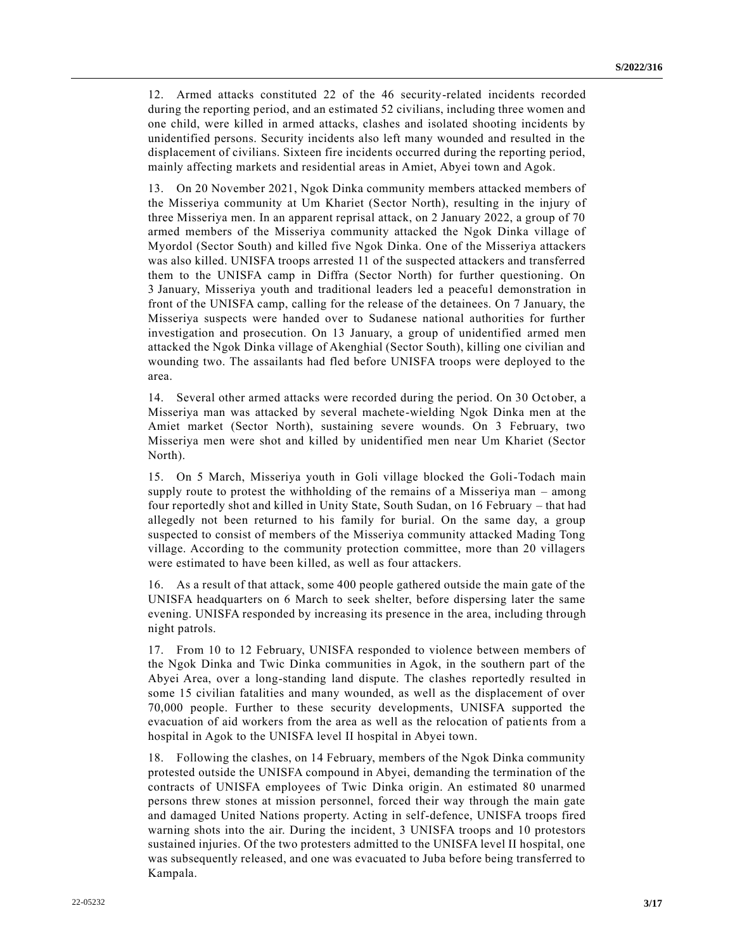12. Armed attacks constituted 22 of the 46 security-related incidents recorded during the reporting period, and an estimated 52 civilians, including three women and one child, were killed in armed attacks, clashes and isolated shooting incidents by unidentified persons. Security incidents also left many wounded and resulted in the displacement of civilians. Sixteen fire incidents occurred during the reporting period, mainly affecting markets and residential areas in Amiet, Abyei town and Agok.

13. On 20 November 2021, Ngok Dinka community members attacked members of the Misseriya community at Um Khariet (Sector North), resulting in the injury of three Misseriya men. In an apparent reprisal attack, on 2 January 2022, a group of 70 armed members of the Misseriya community attacked the Ngok Dinka village of Myordol (Sector South) and killed five Ngok Dinka. One of the Misseriya attackers was also killed. UNISFA troops arrested 11 of the suspected attackers and transferred them to the UNISFA camp in Diffra (Sector North) for further questioning. On 3 January, Misseriya youth and traditional leaders led a peaceful demonstration in front of the UNISFA camp, calling for the release of the detainees. On 7 January, the Misseriya suspects were handed over to Sudanese national authorities for further investigation and prosecution. On 13 January, a group of unidentified armed men attacked the Ngok Dinka village of Akenghial (Sector South), killing one civilian and wounding two. The assailants had fled before UNISFA troops were deployed to the area.

14. Several other armed attacks were recorded during the period. On 30 October, a Misseriya man was attacked by several machete-wielding Ngok Dinka men at the Amiet market (Sector North), sustaining severe wounds. On 3 February, two Misseriya men were shot and killed by unidentified men near Um Khariet (Sector North).

15. On 5 March, Misseriya youth in Goli village blocked the Goli-Todach main supply route to protest the withholding of the remains of a Misseriya man – among four reportedly shot and killed in Unity State, South Sudan, on 16 February – that had allegedly not been returned to his family for burial. On the same day, a group suspected to consist of members of the Misseriya community attacked Mading Tong village. According to the community protection committee, more than 20 villagers were estimated to have been killed, as well as four attackers.

16. As a result of that attack, some 400 people gathered outside the main gate of the UNISFA headquarters on 6 March to seek shelter, before dispersing later the same evening. UNISFA responded by increasing its presence in the area, including through night patrols.

17. From 10 to 12 February, UNISFA responded to violence between members of the Ngok Dinka and Twic Dinka communities in Agok, in the southern part of the Abyei Area, over a long-standing land dispute. The clashes reportedly resulted in some 15 civilian fatalities and many wounded, as well as the displacement of over 70,000 people. Further to these security developments, UNISFA supported the evacuation of aid workers from the area as well as the relocation of patients from a hospital in Agok to the UNISFA level II hospital in Abyei town.

18. Following the clashes, on 14 February, members of the Ngok Dinka community protested outside the UNISFA compound in Abyei, demanding the termination of the contracts of UNISFA employees of Twic Dinka origin. An estimated 80 unarmed persons threw stones at mission personnel, forced their way through the main gate and damaged United Nations property. Acting in self-defence, UNISFA troops fired warning shots into the air. During the incident, 3 UNISFA troops and 10 protestors sustained injuries. Of the two protesters admitted to the UNISFA level II hospital, one was subsequently released, and one was evacuated to Juba before being transferred to Kampala.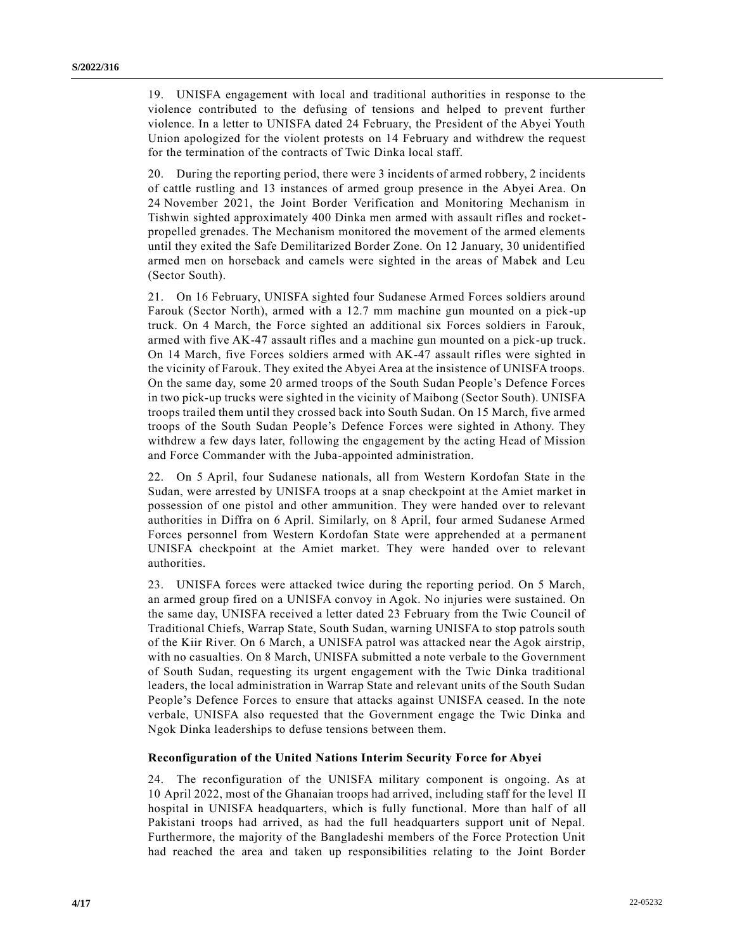19. UNISFA engagement with local and traditional authorities in response to the violence contributed to the defusing of tensions and helped to prevent further violence. In a letter to UNISFA dated 24 February, the President of the Abyei Youth Union apologized for the violent protests on 14 February and withdrew the request for the termination of the contracts of Twic Dinka local staff.

20. During the reporting period, there were 3 incidents of armed robbery, 2 incidents of cattle rustling and 13 instances of armed group presence in the Abyei Area. On 24 November 2021, the Joint Border Verification and Monitoring Mechanism in Tishwin sighted approximately 400 Dinka men armed with assault rifles and rocketpropelled grenades. The Mechanism monitored the movement of the armed elements until they exited the Safe Demilitarized Border Zone. On 12 January, 30 unidentified armed men on horseback and camels were sighted in the areas of Mabek and Leu (Sector South).

21. On 16 February, UNISFA sighted four Sudanese Armed Forces soldiers around Farouk (Sector North), armed with a 12.7 mm machine gun mounted on a pick-up truck. On 4 March, the Force sighted an additional six Forces soldiers in Farouk, armed with five AK-47 assault rifles and a machine gun mounted on a pick-up truck. On 14 March, five Forces soldiers armed with AK-47 assault rifles were sighted in the vicinity of Farouk. They exited the Abyei Area at the insistence of UNISFA troops. On the same day, some 20 armed troops of the South Sudan People's Defence Forces in two pick-up trucks were sighted in the vicinity of Maibong (Sector South). UNISFA troops trailed them until they crossed back into South Sudan. On 15 March, five armed troops of the South Sudan People's Defence Forces were sighted in Athony. They withdrew a few days later, following the engagement by the acting Head of Mission and Force Commander with the Juba-appointed administration.

22. On 5 April, four Sudanese nationals, all from Western Kordofan State in the Sudan, were arrested by UNISFA troops at a snap checkpoint at the Amiet market in possession of one pistol and other ammunition. They were handed over to relevant authorities in Diffra on 6 April. Similarly, on 8 April, four armed Sudanese Armed Forces personnel from Western Kordofan State were apprehended at a permanent UNISFA checkpoint at the Amiet market. They were handed over to relevant authorities.

23. UNISFA forces were attacked twice during the reporting period. On 5 March, an armed group fired on a UNISFA convoy in Agok. No injuries were sustained. On the same day, UNISFA received a letter dated 23 February from the Twic Council of Traditional Chiefs, Warrap State, South Sudan, warning UNISFA to stop patrols south of the Kiir River. On 6 March, a UNISFA patrol was attacked near the Agok airstrip, with no casualties. On 8 March, UNISFA submitted a note verbale to the Government of South Sudan, requesting its urgent engagement with the Twic Dinka traditional leaders, the local administration in Warrap State and relevant units of the South Sudan People's Defence Forces to ensure that attacks against UNISFA ceased. In the note verbale, UNISFA also requested that the Government engage the Twic Dinka and Ngok Dinka leaderships to defuse tensions between them.

#### **Reconfiguration of the United Nations Interim Security Force for Abyei**

24. The reconfiguration of the UNISFA military component is ongoing. As at 10 April 2022, most of the Ghanaian troops had arrived, including staff for the level II hospital in UNISFA headquarters, which is fully functional. More than half of all Pakistani troops had arrived, as had the full headquarters support unit of Nepal. Furthermore, the majority of the Bangladeshi members of the Force Protection Unit had reached the area and taken up responsibilities relating to the Joint Border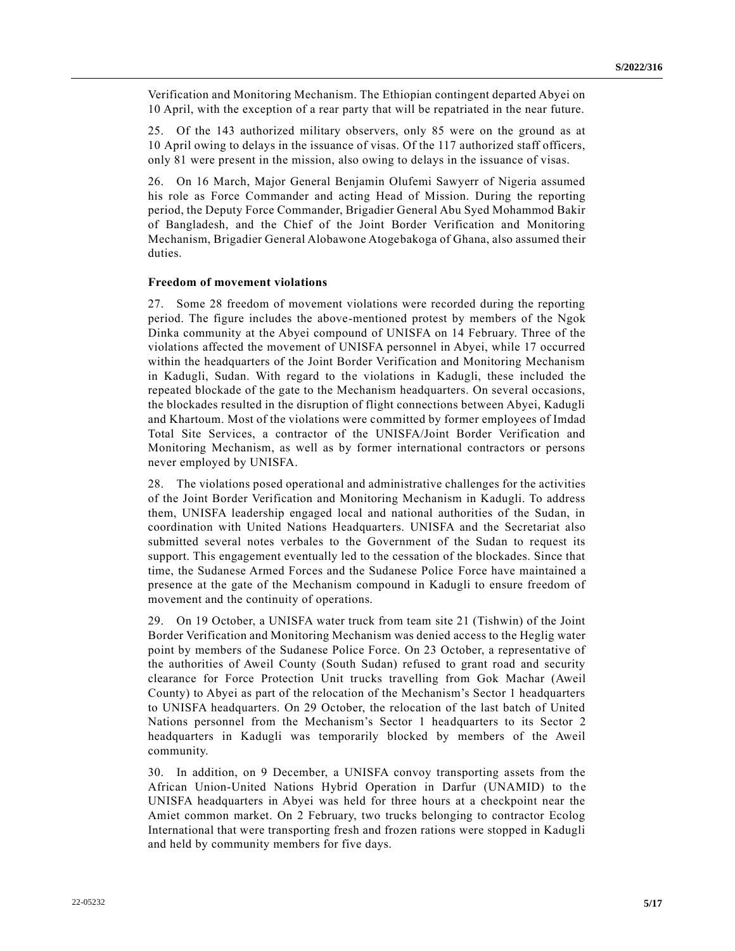Verification and Monitoring Mechanism. The Ethiopian contingent departed Abyei on 10 April, with the exception of a rear party that will be repatriated in the near future.

25. Of the 143 authorized military observers, only 85 were on the ground as at 10 April owing to delays in the issuance of visas. Of the 117 authorized staff officers, only 81 were present in the mission, also owing to delays in the issuance of visas.

26. On 16 March, Major General Benjamin Olufemi Sawyerr of Nigeria assumed his role as Force Commander and acting Head of Mission. During the reporting period, the Deputy Force Commander, Brigadier General Abu Syed Mohammod Bakir of Bangladesh, and the Chief of the Joint Border Verification and Monitoring Mechanism, Brigadier General Alobawone Atogebakoga of Ghana, also assumed their duties.

#### **Freedom of movement violations**

27. Some 28 freedom of movement violations were recorded during the reporting period. The figure includes the above-mentioned protest by members of the Ngok Dinka community at the Abyei compound of UNISFA on 14 February. Three of the violations affected the movement of UNISFA personnel in Abyei, while 17 occurred within the headquarters of the Joint Border Verification and Monitoring Mechanism in Kadugli, Sudan. With regard to the violations in Kadugli, these included the repeated blockade of the gate to the Mechanism headquarters. On several occasions, the blockades resulted in the disruption of flight connections between Abyei, Kadugli and Khartoum. Most of the violations were committed by former employees of Imdad Total Site Services, a contractor of the UNISFA/Joint Border Verification and Monitoring Mechanism, as well as by former international contractors or persons never employed by UNISFA.

28. The violations posed operational and administrative challenges for the activities of the Joint Border Verification and Monitoring Mechanism in Kadugli. To address them, UNISFA leadership engaged local and national authorities of the Sudan, in coordination with United Nations Headquarters. UNISFA and the Secretariat also submitted several notes verbales to the Government of the Sudan to request its support. This engagement eventually led to the cessation of the blockades. Since that time, the Sudanese Armed Forces and the Sudanese Police Force have maintained a presence at the gate of the Mechanism compound in Kadugli to ensure freedom of movement and the continuity of operations.

29. On 19 October, a UNISFA water truck from team site 21 (Tishwin) of the Joint Border Verification and Monitoring Mechanism was denied access to the Heglig water point by members of the Sudanese Police Force. On 23 October, a representative of the authorities of Aweil County (South Sudan) refused to grant road and security clearance for Force Protection Unit trucks travelling from Gok Machar (Aweil County) to Abyei as part of the relocation of the Mechanism's Sector 1 headquarters to UNISFA headquarters. On 29 October, the relocation of the last batch of United Nations personnel from the Mechanism's Sector 1 headquarters to its Sector 2 headquarters in Kadugli was temporarily blocked by members of the Aweil community.

30. In addition, on 9 December, a UNISFA convoy transporting assets from the African Union-United Nations Hybrid Operation in Darfur (UNAMID) to the UNISFA headquarters in Abyei was held for three hours at a checkpoint near the Amiet common market. On 2 February, two trucks belonging to contractor Ecolog International that were transporting fresh and frozen rations were stopped in Kadugli and held by community members for five days.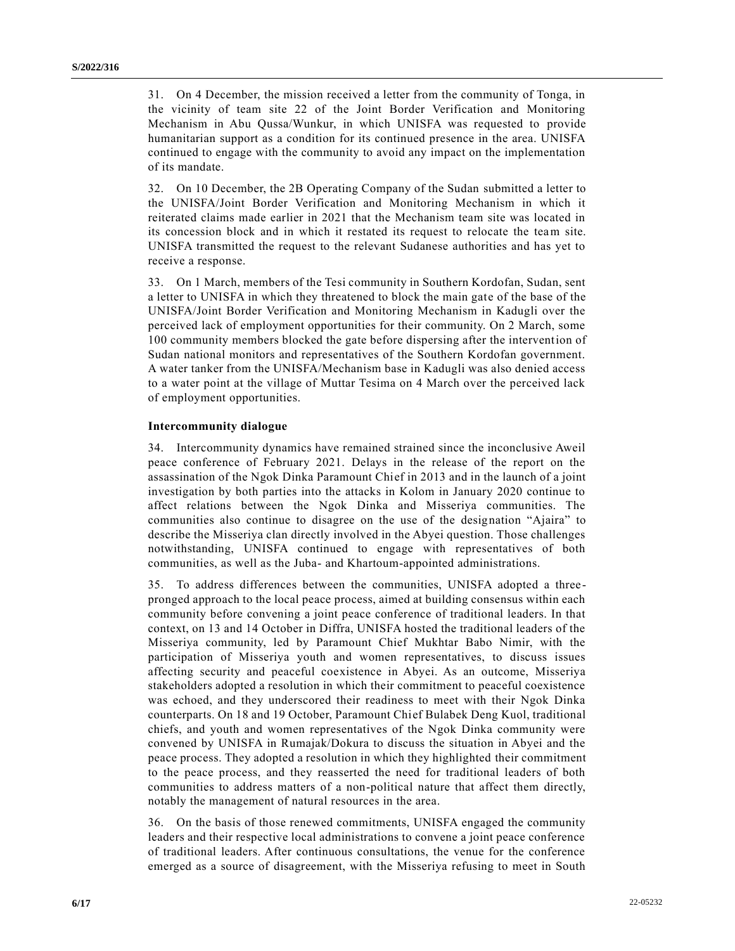31. On 4 December, the mission received a letter from the community of Tonga, in the vicinity of team site 22 of the Joint Border Verification and Monitoring Mechanism in Abu Qussa/Wunkur, in which UNISFA was requested to provide humanitarian support as a condition for its continued presence in the area. UNISFA continued to engage with the community to avoid any impact on the implementation of its mandate.

32. On 10 December, the 2B Operating Company of the Sudan submitted a letter to the UNISFA/Joint Border Verification and Monitoring Mechanism in which it reiterated claims made earlier in 2021 that the Mechanism team site was located in its concession block and in which it restated its request to relocate the team site. UNISFA transmitted the request to the relevant Sudanese authorities and has yet to receive a response.

33. On 1 March, members of the Tesi community in Southern Kordofan, Sudan, sent a letter to UNISFA in which they threatened to block the main gate of the base of the UNISFA/Joint Border Verification and Monitoring Mechanism in Kadugli over the perceived lack of employment opportunities for their community. On 2 March, some 100 community members blocked the gate before dispersing after the intervention of Sudan national monitors and representatives of the Southern Kordofan government. A water tanker from the UNISFA/Mechanism base in Kadugli was also denied access to a water point at the village of Muttar Tesima on 4 March over the perceived lack of employment opportunities.

#### **Intercommunity dialogue**

34. Intercommunity dynamics have remained strained since the inconclusive Aweil peace conference of February 2021. Delays in the release of the report on the assassination of the Ngok Dinka Paramount Chief in 2013 and in the launch of a joint investigation by both parties into the attacks in Kolom in January 2020 continue to affect relations between the Ngok Dinka and Misseriya communities. The communities also continue to disagree on the use of the designation "Ajaira" to describe the Misseriya clan directly involved in the Abyei question. Those challenges notwithstanding, UNISFA continued to engage with representatives of both communities, as well as the Juba- and Khartoum-appointed administrations.

35. To address differences between the communities, UNISFA adopted a threepronged approach to the local peace process, aimed at building consensus within each community before convening a joint peace conference of traditional leaders. In that context, on 13 and 14 October in Diffra, UNISFA hosted the traditional leaders of the Misseriya community, led by Paramount Chief Mukhtar Babo Nimir, with the participation of Misseriya youth and women representatives, to discuss issues affecting security and peaceful coexistence in Abyei. As an outcome, Misseriya stakeholders adopted a resolution in which their commitment to peaceful coexistence was echoed, and they underscored their readiness to meet with their Ngok Dinka counterparts. On 18 and 19 October, Paramount Chief Bulabek Deng Kuol, traditional chiefs, and youth and women representatives of the Ngok Dinka community were convened by UNISFA in Rumajak/Dokura to discuss the situation in Abyei and the peace process. They adopted a resolution in which they highlighted their commitment to the peace process, and they reasserted the need for traditional leaders of both communities to address matters of a non-political nature that affect them directly, notably the management of natural resources in the area.

36. On the basis of those renewed commitments, UNISFA engaged the community leaders and their respective local administrations to convene a joint peace conference of traditional leaders. After continuous consultations, the venue for the conference emerged as a source of disagreement, with the Misseriya refusing to meet in South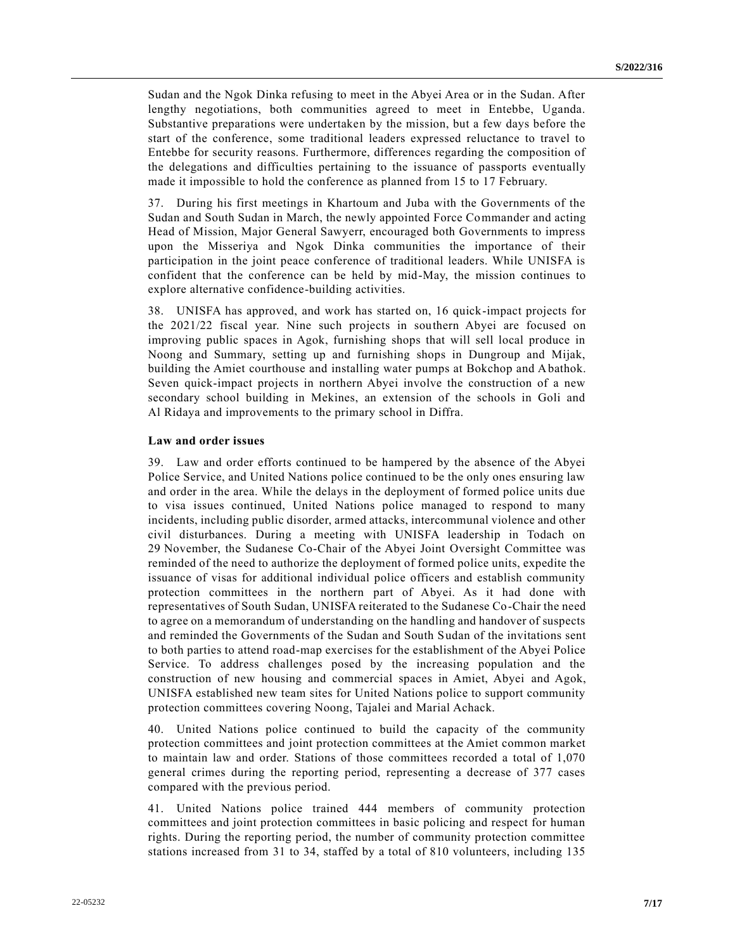Sudan and the Ngok Dinka refusing to meet in the Abyei Area or in the Sudan. After lengthy negotiations, both communities agreed to meet in Entebbe, Uganda. Substantive preparations were undertaken by the mission, but a few days before the start of the conference, some traditional leaders expressed reluctance to travel to Entebbe for security reasons. Furthermore, differences regarding the composition of the delegations and difficulties pertaining to the issuance of passports eventually made it impossible to hold the conference as planned from 15 to 17 February.

37. During his first meetings in Khartoum and Juba with the Governments of the Sudan and South Sudan in March, the newly appointed Force Commander and acting Head of Mission, Major General Sawyerr, encouraged both Governments to impress upon the Misseriya and Ngok Dinka communities the importance of their participation in the joint peace conference of traditional leaders. While UNISFA is confident that the conference can be held by mid-May, the mission continues to explore alternative confidence-building activities.

38. UNISFA has approved, and work has started on, 16 quick-impact projects for the 2021/22 fiscal year. Nine such projects in southern Abyei are focused on improving public spaces in Agok, furnishing shops that will sell local produce in Noong and Summary, setting up and furnishing shops in Dungroup and Mijak, building the Amiet courthouse and installing water pumps at Bokchop and Abathok. Seven quick-impact projects in northern Abyei involve the construction of a new secondary school building in Mekines, an extension of the schools in Goli and Al Ridaya and improvements to the primary school in Diffra.

#### **Law and order issues**

39. Law and order efforts continued to be hampered by the absence of the Abyei Police Service, and United Nations police continued to be the only ones ensuring law and order in the area. While the delays in the deployment of formed police units due to visa issues continued, United Nations police managed to respond to many incidents, including public disorder, armed attacks, intercommunal violence and other civil disturbances. During a meeting with UNISFA leadership in Todach on 29 November, the Sudanese Co-Chair of the Abyei Joint Oversight Committee was reminded of the need to authorize the deployment of formed police units, expedite the issuance of visas for additional individual police officers and establish community protection committees in the northern part of Abyei. As it had done with representatives of South Sudan, UNISFA reiterated to the Sudanese Co-Chair the need to agree on a memorandum of understanding on the handling and handover of suspects and reminded the Governments of the Sudan and South Sudan of the invitations sent to both parties to attend road-map exercises for the establishment of the Abyei Police Service. To address challenges posed by the increasing population and the construction of new housing and commercial spaces in Amiet, Abyei and Agok, UNISFA established new team sites for United Nations police to support community protection committees covering Noong, Tajalei and Marial Achack.

40. United Nations police continued to build the capacity of the community protection committees and joint protection committees at the Amiet common market to maintain law and order. Stations of those committees recorded a total of 1,070 general crimes during the reporting period, representing a decrease of 377 cases compared with the previous period.

41. United Nations police trained 444 members of community protection committees and joint protection committees in basic policing and respect for human rights. During the reporting period, the number of community protection committee stations increased from 31 to 34, staffed by a total of 810 volunteers, including 135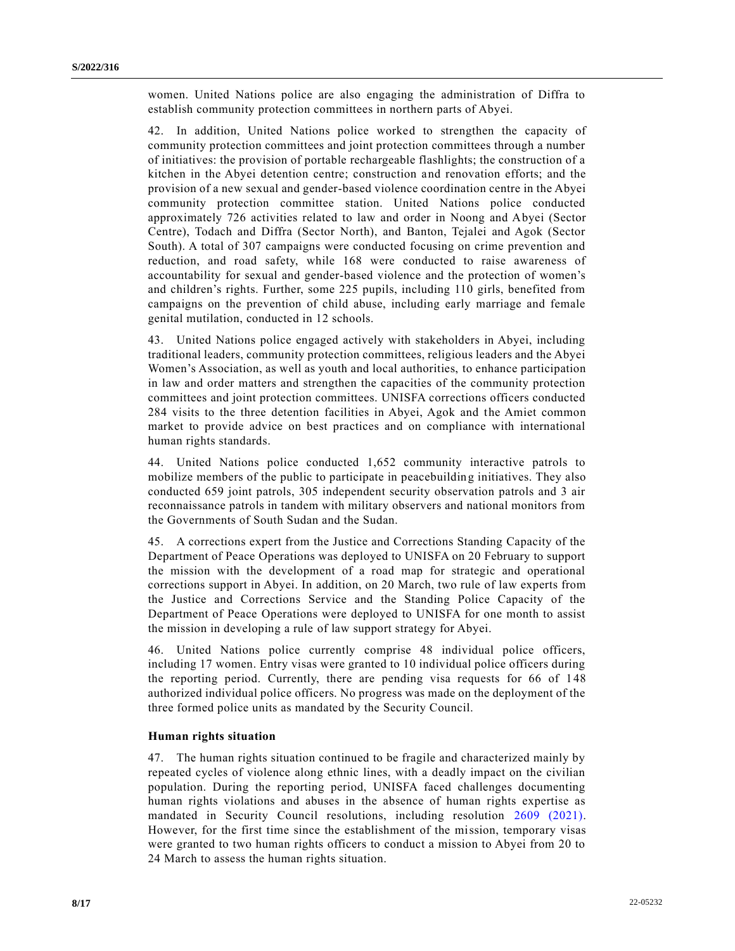women. United Nations police are also engaging the administration of Diffra to establish community protection committees in northern parts of Abyei.

42. In addition, United Nations police worked to strengthen the capacity of community protection committees and joint protection committees through a number of initiatives: the provision of portable rechargeable flashlights; the construction of a kitchen in the Abyei detention centre; construction and renovation efforts; and the provision of a new sexual and gender-based violence coordination centre in the Abyei community protection committee station. United Nations police conducted approximately 726 activities related to law and order in Noong and Abyei (Sector Centre), Todach and Diffra (Sector North), and Banton, Tejalei and Agok (Sector South). A total of 307 campaigns were conducted focusing on crime prevention and reduction, and road safety, while 168 were conducted to raise awareness of accountability for sexual and gender-based violence and the protection of women's and children's rights. Further, some 225 pupils, including 110 girls, benefited from campaigns on the prevention of child abuse, including early marriage and female genital mutilation, conducted in 12 schools.

43. United Nations police engaged actively with stakeholders in Abyei, including traditional leaders, community protection committees, religious leaders and the Abyei Women's Association, as well as youth and local authorities, to enhance participation in law and order matters and strengthen the capacities of the community protection committees and joint protection committees. UNISFA corrections officers conducted 284 visits to the three detention facilities in Abyei, Agok and the Amiet common market to provide advice on best practices and on compliance with international human rights standards.

44. United Nations police conducted 1,652 community interactive patrols to mobilize members of the public to participate in peacebuilding initiatives. They also conducted 659 joint patrols, 305 independent security observation patrols and 3 air reconnaissance patrols in tandem with military observers and national monitors from the Governments of South Sudan and the Sudan.

45. A corrections expert from the Justice and Corrections Standing Capacity of the Department of Peace Operations was deployed to UNISFA on 20 February to support the mission with the development of a road map for strategic and operational corrections support in Abyei. In addition, on 20 March, two rule of law experts from the Justice and Corrections Service and the Standing Police Capacity of the Department of Peace Operations were deployed to UNISFA for one month to assist the mission in developing a rule of law support strategy for Abyei.

46. United Nations police currently comprise 48 individual police officers, including 17 women. Entry visas were granted to 10 individual police officers during the reporting period. Currently, there are pending visa requests for 66 of 148 authorized individual police officers. No progress was made on the deployment of the three formed police units as mandated by the Security Council.

### **Human rights situation**

47. The human rights situation continued to be fragile and characterized mainly by repeated cycles of violence along ethnic lines, with a deadly impact on the civilian population. During the reporting period, UNISFA faced challenges documenting human rights violations and abuses in the absence of human rights expertise as mandated in Security Council resolutions, including resolution [2609 \(2021\).](https://undocs.org/en/S/RES/2609(2021)) However, for the first time since the establishment of the mission, temporary visas were granted to two human rights officers to conduct a mission to Abyei from 20 to 24 March to assess the human rights situation.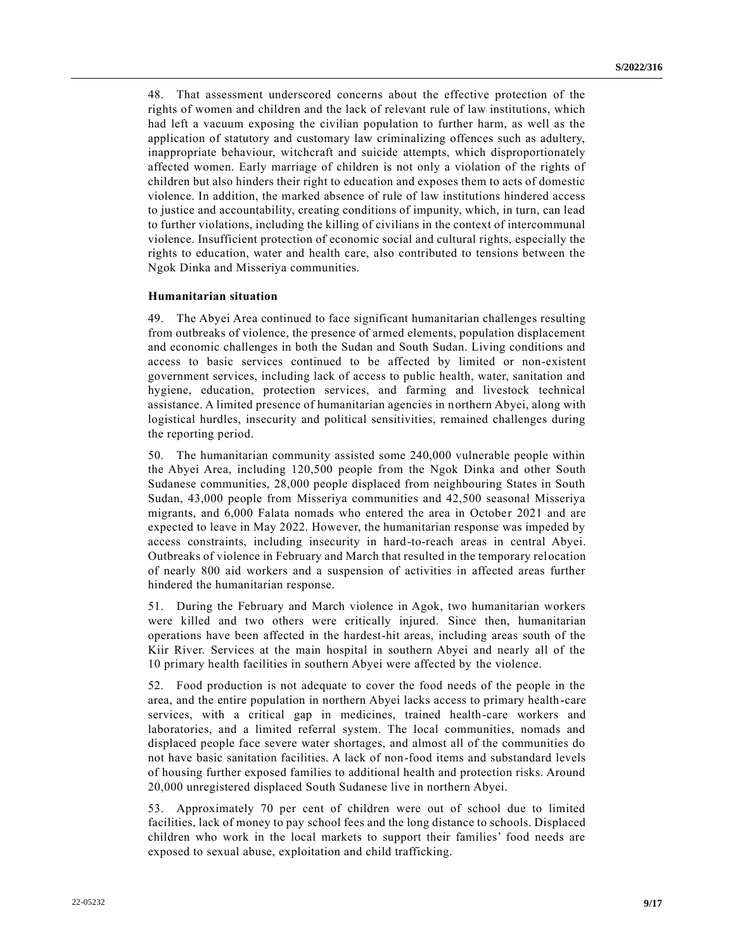48. That assessment underscored concerns about the effective protection of the rights of women and children and the lack of relevant rule of law institutions, which had left a vacuum exposing the civilian population to further harm, as well as the application of statutory and customary law criminalizing offences such as adultery, inappropriate behaviour, witchcraft and suicide attempts, which disproportionately affected women. Early marriage of children is not only a violation of the rights of children but also hinders their right to education and exposes them to acts of domestic violence. In addition, the marked absence of rule of law institutions hindered access to justice and accountability, creating conditions of impunity, which, in turn, can lead to further violations, including the killing of civilians in the context of intercommunal violence. Insufficient protection of economic social and cultural rights, especially the rights to education, water and health care, also contributed to tensions between the Ngok Dinka and Misseriya communities.

#### **Humanitarian situation**

49. The Abyei Area continued to face significant humanitarian challenges resulting from outbreaks of violence, the presence of armed elements, population displacement and economic challenges in both the Sudan and South Sudan. Living conditions and access to basic services continued to be affected by limited or non-existent government services, including lack of access to public health, water, sanitation and hygiene, education, protection services, and farming and livestock technical assistance. A limited presence of humanitarian agencies in northern Abyei, along with logistical hurdles, insecurity and political sensitivities, remained challenges during the reporting period.

50. The humanitarian community assisted some 240,000 vulnerable people within the Abyei Area, including 120,500 people from the Ngok Dinka and other South Sudanese communities, 28,000 people displaced from neighbouring States in South Sudan, 43,000 people from Misseriya communities and 42,500 seasonal Misseriya migrants, and 6,000 Falata nomads who entered the area in October 2021 and are expected to leave in May 2022. However, the humanitarian response was impeded by access constraints, including insecurity in hard-to-reach areas in central Abyei. Outbreaks of violence in February and March that resulted in the temporary relocation of nearly 800 aid workers and a suspension of activities in affected areas further hindered the humanitarian response.

51. During the February and March violence in Agok, two humanitarian workers were killed and two others were critically injured. Since then, humanitarian operations have been affected in the hardest-hit areas, including areas south of the Kiir River. Services at the main hospital in southern Abyei and nearly all of the 10 primary health facilities in southern Abyei were affected by the violence.

52. Food production is not adequate to cover the food needs of the people in the area, and the entire population in northern Abyei lacks access to primary health-care services, with a critical gap in medicines, trained health-care workers and laboratories, and a limited referral system. The local communities, nomads and displaced people face severe water shortages, and almost all of the communities do not have basic sanitation facilities. A lack of non-food items and substandard levels of housing further exposed families to additional health and protection risks. Around 20,000 unregistered displaced South Sudanese live in northern Abyei.

53. Approximately 70 per cent of children were out of school due to limited facilities, lack of money to pay school fees and the long distance to schools. Displaced children who work in the local markets to support their families' food needs are exposed to sexual abuse, exploitation and child trafficking.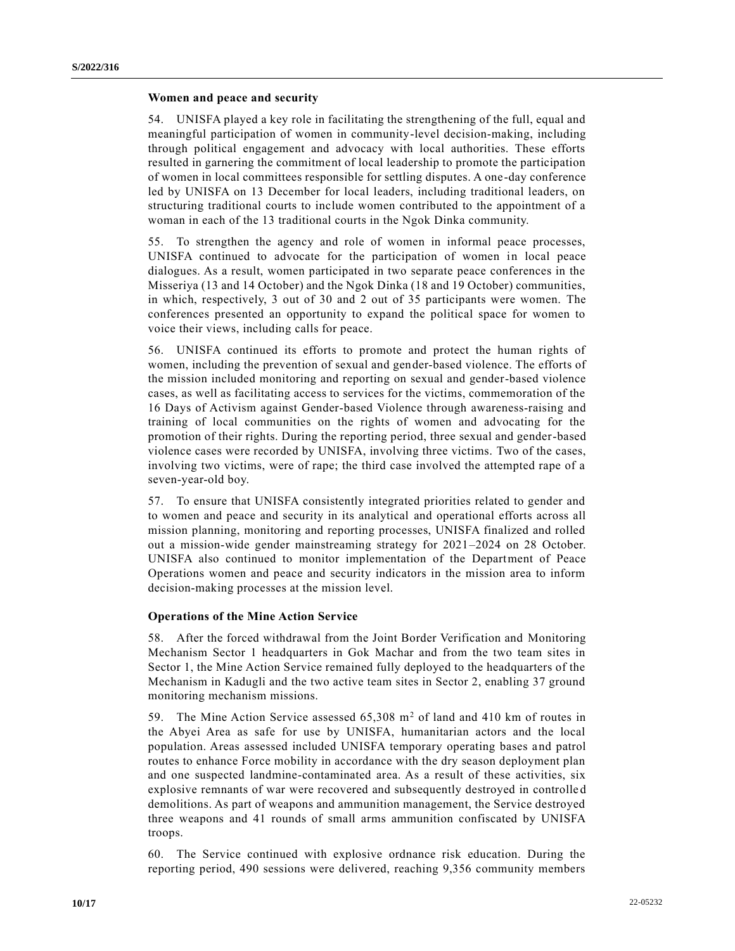### **Women and peace and security**

54. UNISFA played a key role in facilitating the strengthening of the full, equal and meaningful participation of women in community-level decision-making, including through political engagement and advocacy with local authorities. These efforts resulted in garnering the commitment of local leadership to promote the participation of women in local committees responsible for settling disputes. A one-day conference led by UNISFA on 13 December for local leaders, including traditional leaders, on structuring traditional courts to include women contributed to the appointment of a woman in each of the 13 traditional courts in the Ngok Dinka community.

55. To strengthen the agency and role of women in informal peace processes, UNISFA continued to advocate for the participation of women in local peace dialogues. As a result, women participated in two separate peace conferences in the Misseriya (13 and 14 October) and the Ngok Dinka (18 and 19 October) communities, in which, respectively, 3 out of 30 and 2 out of 35 participants were women. The conferences presented an opportunity to expand the political space for women to voice their views, including calls for peace.

56. UNISFA continued its efforts to promote and protect the human rights of women, including the prevention of sexual and gender-based violence. The efforts of the mission included monitoring and reporting on sexual and gender-based violence cases, as well as facilitating access to services for the victims, commemoration of the 16 Days of Activism against Gender-based Violence through awareness-raising and training of local communities on the rights of women and advocating for the promotion of their rights. During the reporting period, three sexual and gender-based violence cases were recorded by UNISFA, involving three victims. Two of the cases, involving two victims, were of rape; the third case involved the attempted rape of a seven-year-old boy.

57. To ensure that UNISFA consistently integrated priorities related to gender and to women and peace and security in its analytical and operational efforts across all mission planning, monitoring and reporting processes, UNISFA finalized and rolled out a mission-wide gender mainstreaming strategy for 2021–2024 on 28 October. UNISFA also continued to monitor implementation of the Department of Peace Operations women and peace and security indicators in the mission area to inform decision-making processes at the mission level.

#### **Operations of the Mine Action Service**

58. After the forced withdrawal from the Joint Border Verification and Monitoring Mechanism Sector 1 headquarters in Gok Machar and from the two team sites in Sector 1, the Mine Action Service remained fully deployed to the headquarters of the Mechanism in Kadugli and the two active team sites in Sector 2, enabling 37 ground monitoring mechanism missions.

59. The Mine Action Service assessed 65,308 m<sup>2</sup> of land and 410 km of routes in the Abyei Area as safe for use by UNISFA, humanitarian actors and the local population. Areas assessed included UNISFA temporary operating bases and patrol routes to enhance Force mobility in accordance with the dry season deployment plan and one suspected landmine-contaminated area. As a result of these activities, six explosive remnants of war were recovered and subsequently destroyed in controlle d demolitions. As part of weapons and ammunition management, the Service destroyed three weapons and 41 rounds of small arms ammunition confiscated by UNISFA troops.

60. The Service continued with explosive ordnance risk education. During the reporting period, 490 sessions were delivered, reaching 9,356 community members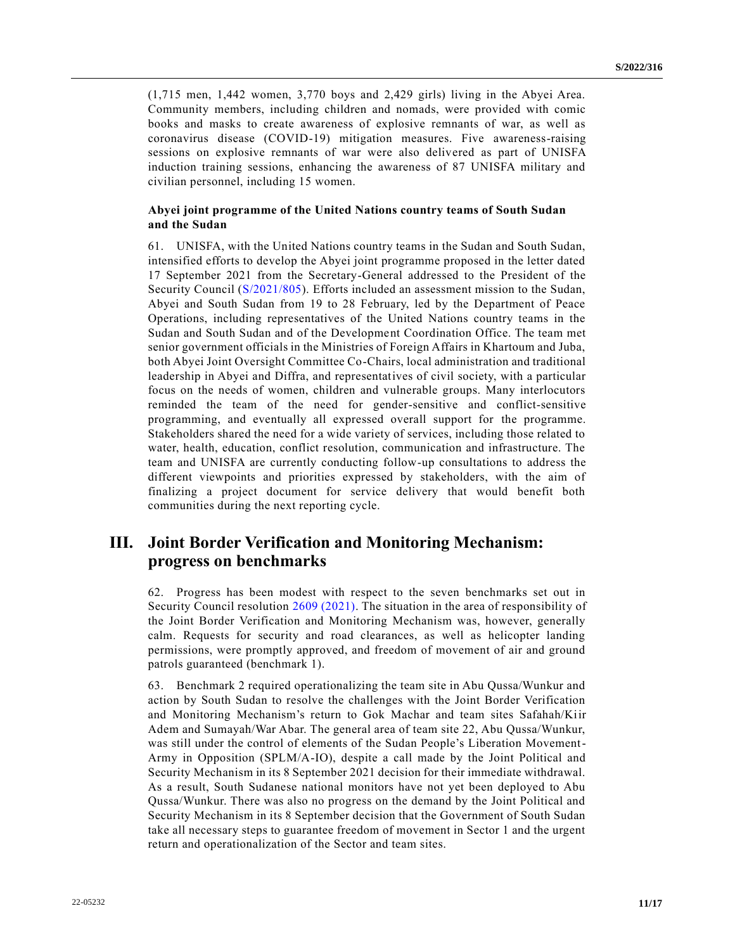(1,715 men, 1,442 women, 3,770 boys and 2,429 girls) living in the Abyei Area. Community members, including children and nomads, were provided with comic books and masks to create awareness of explosive remnants of war, as well as coronavirus disease (COVID-19) mitigation measures. Five awareness-raising sessions on explosive remnants of war were also delivered as part of UNISFA induction training sessions, enhancing the awareness of 87 UNISFA military and civilian personnel, including 15 women.

### **Abyei joint programme of the United Nations country teams of South Sudan and the Sudan**

61. UNISFA, with the United Nations country teams in the Sudan and South Sudan, intensified efforts to develop the Abyei joint programme proposed in the letter dated 17 September 2021 from the Secretary-General addressed to the President of the Security Council [\(S/2021/805\)](https://undocs.org/en/S/2021/805). Efforts included an assessment mission to the Sudan, Abyei and South Sudan from 19 to 28 February, led by the Department of Peace Operations, including representatives of the United Nations country teams in the Sudan and South Sudan and of the Development Coordination Office. The team met senior government officials in the Ministries of Foreign Affairs in Khartoum and Juba, both Abyei Joint Oversight Committee Co-Chairs, local administration and traditional leadership in Abyei and Diffra, and representatives of civil society, with a particular focus on the needs of women, children and vulnerable groups. Many interlocutors reminded the team of the need for gender-sensitive and conflict-sensitive programming, and eventually all expressed overall support for the programme. Stakeholders shared the need for a wide variety of services, including those related to water, health, education, conflict resolution, communication and infrastructure. The team and UNISFA are currently conducting follow-up consultations to address the different viewpoints and priorities expressed by stakeholders, with the aim of finalizing a project document for service delivery that would benefit both communities during the next reporting cycle.

# **III. Joint Border Verification and Monitoring Mechanism: progress on benchmarks**

62. Progress has been modest with respect to the seven benchmarks set out in Security Council resolution [2609 \(2021\).](https://undocs.org/en/S/RES/2609(2021)) The situation in the area of responsibility of the Joint Border Verification and Monitoring Mechanism was, however, generally calm. Requests for security and road clearances, as well as helicopter landing permissions, were promptly approved, and freedom of movement of air and ground patrols guaranteed (benchmark 1).

63. Benchmark 2 required operationalizing the team site in Abu Qussa/Wunkur and action by South Sudan to resolve the challenges with the Joint Border Verification and Monitoring Mechanism's return to Gok Machar and team sites Safahah/Kiir Adem and Sumayah/War Abar. The general area of team site 22, Abu Qussa/Wunkur, was still under the control of elements of the Sudan People's Liberation Movement-Army in Opposition (SPLM/A-IO), despite a call made by the Joint Political and Security Mechanism in its 8 September 2021 decision for their immediate withdrawal. As a result, South Sudanese national monitors have not yet been deployed to Abu Qussa/Wunkur. There was also no progress on the demand by the Joint Political and Security Mechanism in its 8 September decision that the Government of South Sudan take all necessary steps to guarantee freedom of movement in Sector 1 and the urgent return and operationalization of the Sector and team sites.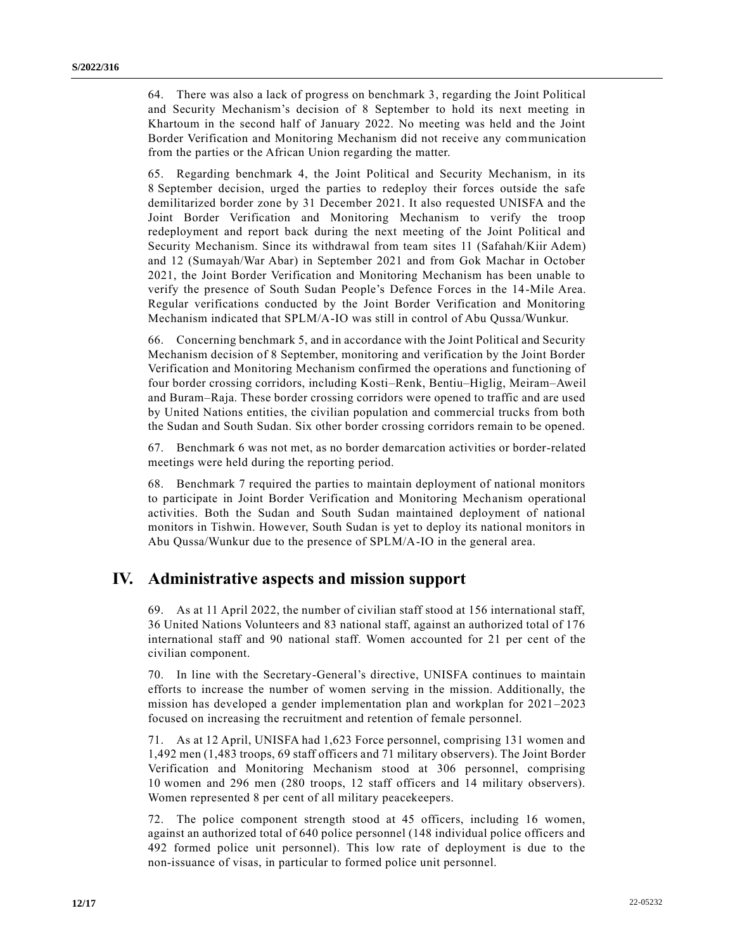64. There was also a lack of progress on benchmark 3, regarding the Joint Political and Security Mechanism's decision of 8 September to hold its next meeting in Khartoum in the second half of January 2022. No meeting was held and the Joint Border Verification and Monitoring Mechanism did not receive any communication from the parties or the African Union regarding the matter.

65. Regarding benchmark 4, the Joint Political and Security Mechanism, in its 8 September decision, urged the parties to redeploy their forces outside the safe demilitarized border zone by 31 December 2021. It also requested UNISFA and the Joint Border Verification and Monitoring Mechanism to verify the troop redeployment and report back during the next meeting of the Joint Political and Security Mechanism. Since its withdrawal from team sites 11 (Safahah/Kiir Adem) and 12 (Sumayah/War Abar) in September 2021 and from Gok Machar in October 2021, the Joint Border Verification and Monitoring Mechanism has been unable to verify the presence of South Sudan People's Defence Forces in the 14-Mile Area. Regular verifications conducted by the Joint Border Verification and Monitoring Mechanism indicated that SPLM/A-IO was still in control of Abu Qussa/Wunkur.

66. Concerning benchmark 5, and in accordance with the Joint Political and Security Mechanism decision of 8 September, monitoring and verification by the Joint Border Verification and Monitoring Mechanism confirmed the operations and functioning of four border crossing corridors, including Kosti–Renk, Bentiu–Higlig, Meiram–Aweil and Buram–Raja. These border crossing corridors were opened to traffic and are used by United Nations entities, the civilian population and commercial trucks from both the Sudan and South Sudan. Six other border crossing corridors remain to be opened.

67. Benchmark 6 was not met, as no border demarcation activities or border-related meetings were held during the reporting period.

68. Benchmark 7 required the parties to maintain deployment of national monitors to participate in Joint Border Verification and Monitoring Mechanism operational activities. Both the Sudan and South Sudan maintained deployment of national monitors in Tishwin. However, South Sudan is yet to deploy its national monitors in Abu Qussa/Wunkur due to the presence of SPLM/A-IO in the general area.

# **IV. Administrative aspects and mission support**

69. As at 11 April 2022, the number of civilian staff stood at 156 international staff, 36 United Nations Volunteers and 83 national staff, against an authorized total of 176 international staff and 90 national staff. Women accounted for 21 per cent of the civilian component.

70. In line with the Secretary-General's directive, UNISFA continues to maintain efforts to increase the number of women serving in the mission. Additionally, the mission has developed a gender implementation plan and workplan for 2021–2023 focused on increasing the recruitment and retention of female personnel.

71. As at 12 April, UNISFA had 1,623 Force personnel, comprising 131 women and 1,492 men (1,483 troops, 69 staff officers and 71 military observers). The Joint Border Verification and Monitoring Mechanism stood at 306 personnel, comprising 10 women and 296 men (280 troops, 12 staff officers and 14 military observers). Women represented 8 per cent of all military peacekeepers.

72. The police component strength stood at 45 officers, including 16 women, against an authorized total of 640 police personnel (148 individual police officers and 492 formed police unit personnel). This low rate of deployment is due to the non-issuance of visas, in particular to formed police unit personnel.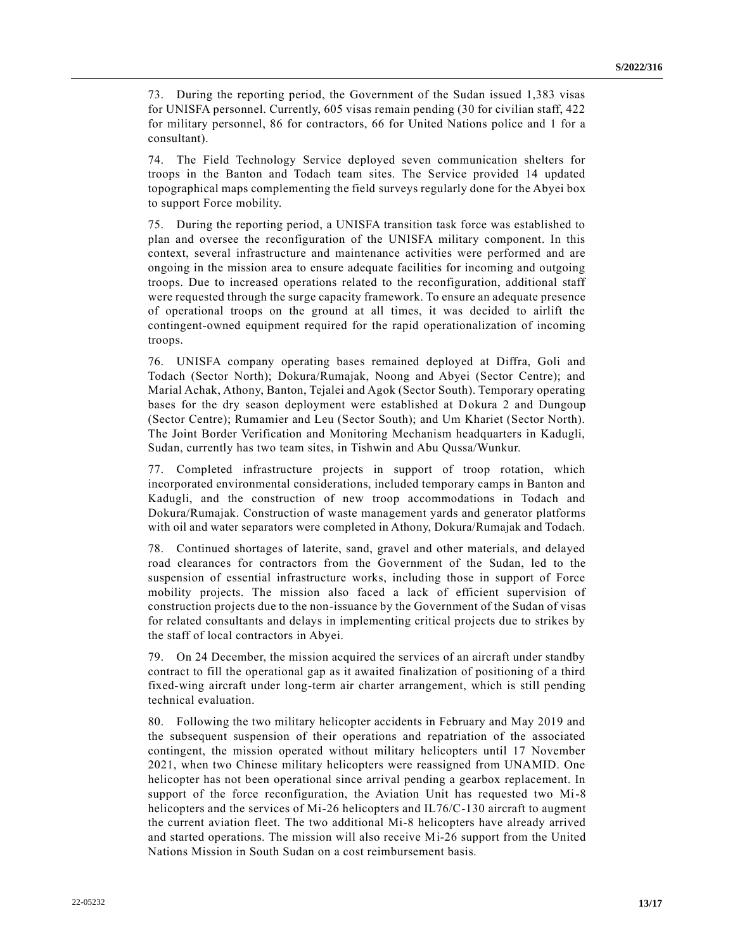73. During the reporting period, the Government of the Sudan issued 1,383 visas for UNISFA personnel. Currently, 605 visas remain pending (30 for civilian staff, 422 for military personnel, 86 for contractors, 66 for United Nations police and 1 for a consultant).

74. The Field Technology Service deployed seven communication shelters for troops in the Banton and Todach team sites. The Service provided 14 updated topographical maps complementing the field surveys regularly done for the Abyei box to support Force mobility.

75. During the reporting period, a UNISFA transition task force was established to plan and oversee the reconfiguration of the UNISFA military component. In this context, several infrastructure and maintenance activities were performed and are ongoing in the mission area to ensure adequate facilities for incoming and outgoing troops. Due to increased operations related to the reconfiguration, additional staff were requested through the surge capacity framework. To ensure an adequate presence of operational troops on the ground at all times, it was decided to airlift the contingent-owned equipment required for the rapid operationalization of incoming troops.

76. UNISFA company operating bases remained deployed at Diffra, Goli and Todach (Sector North); Dokura/Rumajak, Noong and Abyei (Sector Centre); and Marial Achak, Athony, Banton, Tejalei and Agok (Sector South). Temporary operating bases for the dry season deployment were established at Dokura 2 and Dungoup (Sector Centre); Rumamier and Leu (Sector South); and Um Khariet (Sector North). The Joint Border Verification and Monitoring Mechanism headquarters in Kadugli, Sudan, currently has two team sites, in Tishwin and Abu Qussa/Wunkur.

77. Completed infrastructure projects in support of troop rotation, which incorporated environmental considerations, included temporary camps in Banton and Kadugli, and the construction of new troop accommodations in Todach and Dokura/Rumajak. Construction of waste management yards and generator platforms with oil and water separators were completed in Athony, Dokura/Rumajak and Todach.

78. Continued shortages of laterite, sand, gravel and other materials, and delayed road clearances for contractors from the Government of the Sudan, led to the suspension of essential infrastructure works, including those in support of Force mobility projects. The mission also faced a lack of efficient supervision of construction projects due to the non-issuance by the Government of the Sudan of visas for related consultants and delays in implementing critical projects due to strikes by the staff of local contractors in Abyei.

79. On 24 December, the mission acquired the services of an aircraft under standby contract to fill the operational gap as it awaited finalization of positioning of a third fixed-wing aircraft under long-term air charter arrangement, which is still pending technical evaluation.

80. Following the two military helicopter accidents in February and May 2019 and the subsequent suspension of their operations and repatriation of the associated contingent, the mission operated without military helicopters until 17 November 2021, when two Chinese military helicopters were reassigned from UNAMID. One helicopter has not been operational since arrival pending a gearbox replacement. In support of the force reconfiguration, the Aviation Unit has requested two Mi-8 helicopters and the services of Mi-26 helicopters and IL76/C-130 aircraft to augment the current aviation fleet. The two additional Mi-8 helicopters have already arrived and started operations. The mission will also receive Mi-26 support from the United Nations Mission in South Sudan on a cost reimbursement basis.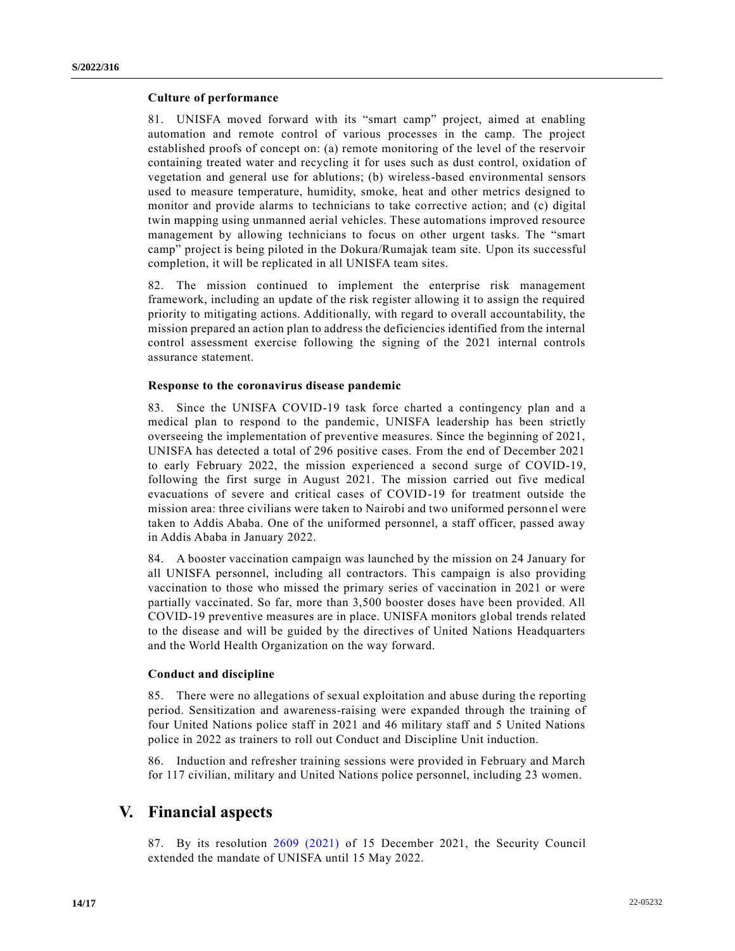#### **Culture of performance**

81. UNISFA moved forward with its "smart camp" project, aimed at enabling automation and remote control of various processes in the camp. The project established proofs of concept on: (a) remote monitoring of the level of the reservoir containing treated water and recycling it for uses such as dust control, oxidation of vegetation and general use for ablutions; (b) wireless-based environmental sensors used to measure temperature, humidity, smoke, heat and other metrics designed to monitor and provide alarms to technicians to take corrective action; and (c) digital twin mapping using unmanned aerial vehicles. These automations improved resource management by allowing technicians to focus on other urgent tasks. The "smart camp" project is being piloted in the Dokura/Rumajak team site. Upon its successful completion, it will be replicated in all UNISFA team sites.

82. The mission continued to implement the enterprise risk management framework, including an update of the risk register allowing it to assign the required priority to mitigating actions. Additionally, with regard to overall accountability, the mission prepared an action plan to address the deficiencies identified from the internal control assessment exercise following the signing of the 2021 internal controls assurance statement.

### **Response to the coronavirus disease pandemic**

83. Since the UNISFA COVID-19 task force charted a contingency plan and a medical plan to respond to the pandemic, UNISFA leadership has been strictly overseeing the implementation of preventive measures. Since the beginning of 2021, UNISFA has detected a total of 296 positive cases. From the end of December 2021 to early February 2022, the mission experienced a second surge of COVID-19, following the first surge in August 2021. The mission carried out five medical evacuations of severe and critical cases of COVID-19 for treatment outside the mission area: three civilians were taken to Nairobi and two uniformed personn el were taken to Addis Ababa. One of the uniformed personnel, a staff officer, passed away in Addis Ababa in January 2022.

84. A booster vaccination campaign was launched by the mission on 24 January for all UNISFA personnel, including all contractors. This campaign is also providing vaccination to those who missed the primary series of vaccination in 2021 or were partially vaccinated. So far, more than 3,500 booster doses have been provided. All COVID-19 preventive measures are in place. UNISFA monitors global trends related to the disease and will be guided by the directives of United Nations Headquarters and the World Health Organization on the way forward.

### **Conduct and discipline**

85. There were no allegations of sexual exploitation and abuse during the reporting period. Sensitization and awareness-raising were expanded through the training of four United Nations police staff in 2021 and 46 military staff and 5 United Nations police in 2022 as trainers to roll out Conduct and Discipline Unit induction.

86. Induction and refresher training sessions were provided in February and March for 117 civilian, military and United Nations police personnel, including 23 women.

## **V. Financial aspects**

87. By its resolution [2609 \(2021\)](https://undocs.org/en/S/RES/2609(2021)) of 15 December 2021, the Security Council extended the mandate of UNISFA until 15 May 2022.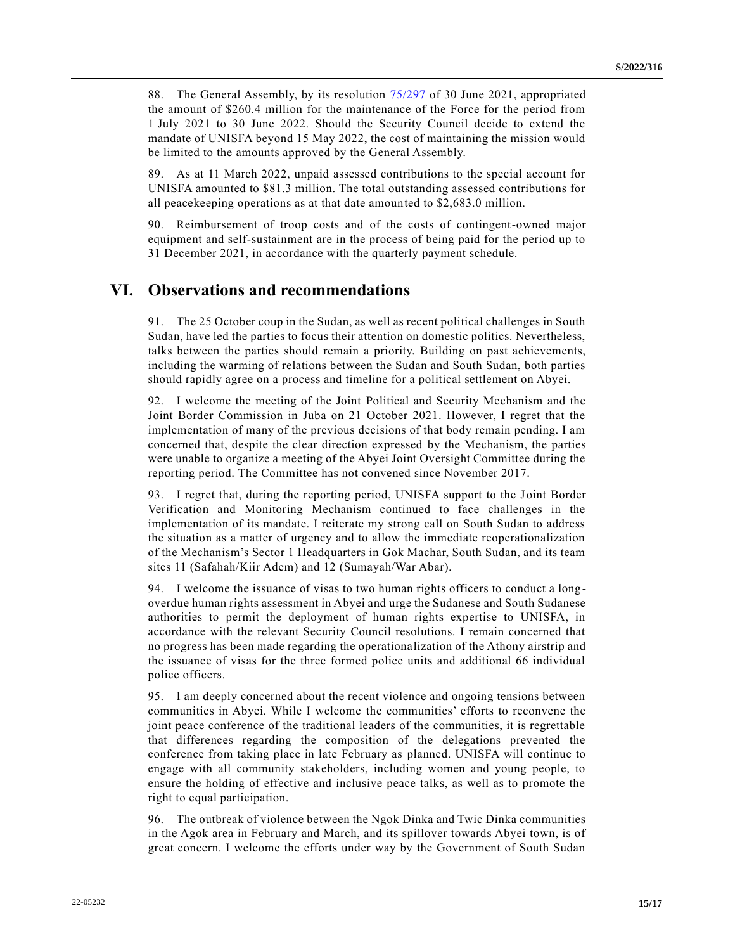88. The General Assembly, by its resolution [75/297](https://undocs.org/en/A/RES/75/297) of 30 June 2021, appropriated the amount of \$260.4 million for the maintenance of the Force for the period from 1 July 2021 to 30 June 2022. Should the Security Council decide to extend the mandate of UNISFA beyond 15 May 2022, the cost of maintaining the mission would be limited to the amounts approved by the General Assembly.

89. As at 11 March 2022, unpaid assessed contributions to the special account for UNISFA amounted to \$81.3 million. The total outstanding assessed contributions for all peacekeeping operations as at that date amounted to \$2,683.0 million.

90. Reimbursement of troop costs and of the costs of contingent-owned major equipment and self-sustainment are in the process of being paid for the period up to 31 December 2021, in accordance with the quarterly payment schedule.

# **VI. Observations and recommendations**

91. The 25 October coup in the Sudan, as well as recent political challenges in South Sudan, have led the parties to focus their attention on domestic politics. Nevertheless, talks between the parties should remain a priority. Building on past achievements, including the warming of relations between the Sudan and South Sudan, both parties should rapidly agree on a process and timeline for a political settlement on Abyei.

92. I welcome the meeting of the Joint Political and Security Mechanism and the Joint Border Commission in Juba on 21 October 2021. However, I regret that the implementation of many of the previous decisions of that body remain pending. I am concerned that, despite the clear direction expressed by the Mechanism, the parties were unable to organize a meeting of the Abyei Joint Oversight Committee during the reporting period. The Committee has not convened since November 2017.

93. I regret that, during the reporting period, UNISFA support to the Joint Border Verification and Monitoring Mechanism continued to face challenges in the implementation of its mandate. I reiterate my strong call on South Sudan to address the situation as a matter of urgency and to allow the immediate reoperationalization of the Mechanism's Sector 1 Headquarters in Gok Machar, South Sudan, and its team sites 11 (Safahah/Kiir Adem) and 12 (Sumayah/War Abar).

94. I welcome the issuance of visas to two human rights officers to conduct a longoverdue human rights assessment in Abyei and urge the Sudanese and South Sudanese authorities to permit the deployment of human rights expertise to UNISFA, in accordance with the relevant Security Council resolutions. I remain concerned that no progress has been made regarding the operationalization of the Athony airstrip and the issuance of visas for the three formed police units and additional 66 individual police officers.

95. I am deeply concerned about the recent violence and ongoing tensions between communities in Abyei. While I welcome the communities' efforts to reconvene the joint peace conference of the traditional leaders of the communities, it is regrettable that differences regarding the composition of the delegations prevented the conference from taking place in late February as planned. UNISFA will continue to engage with all community stakeholders, including women and young people, to ensure the holding of effective and inclusive peace talks, as well as to promote the right to equal participation.

96. The outbreak of violence between the Ngok Dinka and Twic Dinka communities in the Agok area in February and March, and its spillover towards Abyei town, is of great concern. I welcome the efforts under way by the Government of South Sudan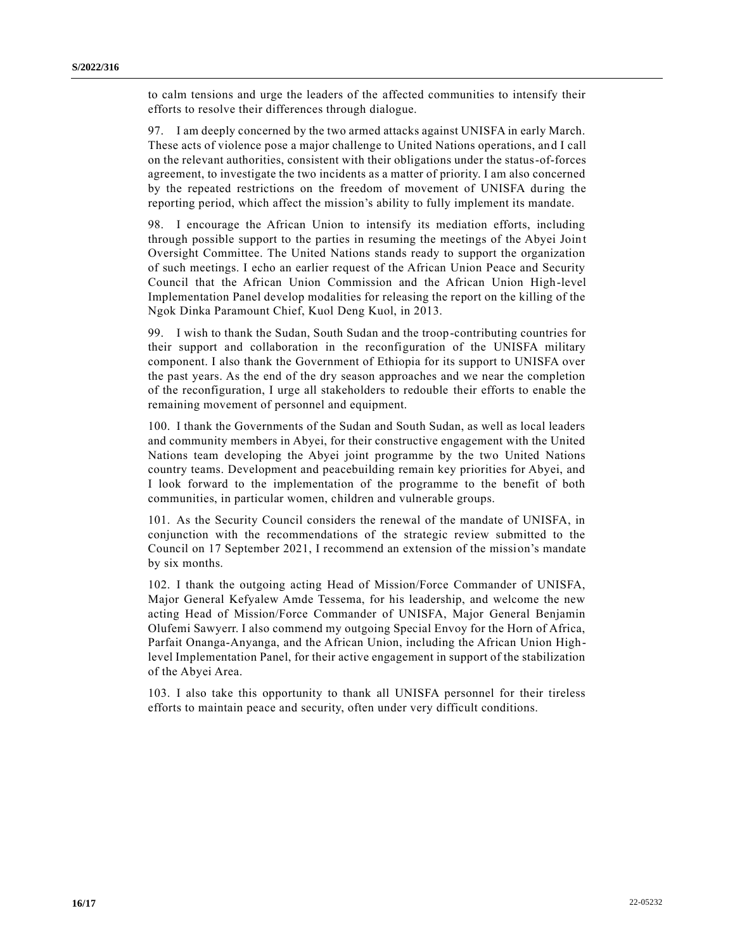to calm tensions and urge the leaders of the affected communities to intensify their efforts to resolve their differences through dialogue.

97. I am deeply concerned by the two armed attacks against UNISFA in early March. These acts of violence pose a major challenge to United Nations operations, and I call on the relevant authorities, consistent with their obligations under the status-of-forces agreement, to investigate the two incidents as a matter of priority. I am also concerned by the repeated restrictions on the freedom of movement of UNISFA during the reporting period, which affect the mission's ability to fully implement its mandate.

98. I encourage the African Union to intensify its mediation efforts, including through possible support to the parties in resuming the meetings of the Abyei Join t Oversight Committee. The United Nations stands ready to support the organization of such meetings. I echo an earlier request of the African Union Peace and Security Council that the African Union Commission and the African Union High-level Implementation Panel develop modalities for releasing the report on the killing of the Ngok Dinka Paramount Chief, Kuol Deng Kuol, in 2013.

99. I wish to thank the Sudan, South Sudan and the troop-contributing countries for their support and collaboration in the reconfiguration of the UNISFA military component. I also thank the Government of Ethiopia for its support to UNISFA over the past years. As the end of the dry season approaches and we near the completion of the reconfiguration, I urge all stakeholders to redouble their efforts to enable the remaining movement of personnel and equipment.

100. I thank the Governments of the Sudan and South Sudan, as well as local leaders and community members in Abyei, for their constructive engagement with the United Nations team developing the Abyei joint programme by the two United Nations country teams. Development and peacebuilding remain key priorities for Abyei, and I look forward to the implementation of the programme to the benefit of both communities, in particular women, children and vulnerable groups.

101. As the Security Council considers the renewal of the mandate of UNISFA, in conjunction with the recommendations of the strategic review submitted to the Council on 17 September 2021, I recommend an extension of the mission's mandate by six months.

102. I thank the outgoing acting Head of Mission/Force Commander of UNISFA, Major General Kefyalew Amde Tessema, for his leadership, and welcome the new acting Head of Mission/Force Commander of UNISFA, Major General Benjamin Olufemi Sawyerr. I also commend my outgoing Special Envoy for the Horn of Africa, Parfait Onanga-Anyanga, and the African Union, including the African Union Highlevel Implementation Panel, for their active engagement in support of the stabilization of the Abyei Area.

103. I also take this opportunity to thank all UNISFA personnel for their tireless efforts to maintain peace and security, often under very difficult conditions.